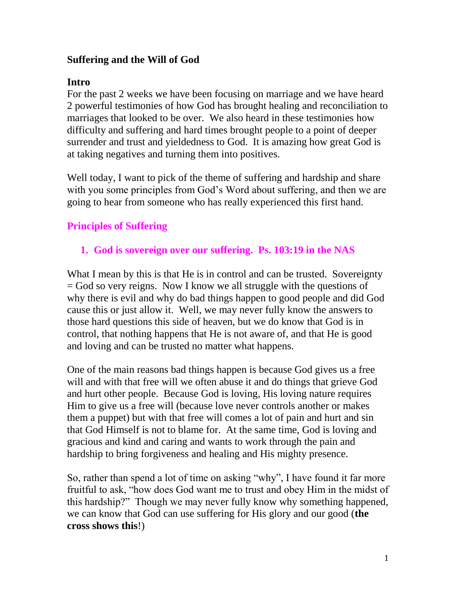## **Suffering and the Will of God**

#### **Intro**

For the past 2 weeks we have been focusing on marriage and we have heard 2 powerful testimonies of how God has brought healing and reconciliation to marriages that looked to be over. We also heard in these testimonies how difficulty and suffering and hard times brought people to a point of deeper surrender and trust and yieldedness to God. It is amazing how great God is at taking negatives and turning them into positives.

Well today, I want to pick of the theme of suffering and hardship and share with you some principles from God's Word about suffering, and then we are going to hear from someone who has really experienced this first hand.

# **Principles of Suffering**

## **1. God is sovereign over our suffering. Ps. 103:19 in the NAS**

What I mean by this is that He is in control and can be trusted. Sovereignty = God so very reigns. Now I know we all struggle with the questions of why there is evil and why do bad things happen to good people and did God cause this or just allow it. Well, we may never fully know the answers to those hard questions this side of heaven, but we do know that God is in control, that nothing happens that He is not aware of, and that He is good and loving and can be trusted no matter what happens.

One of the main reasons bad things happen is because God gives us a free will and with that free will we often abuse it and do things that grieve God and hurt other people. Because God is loving, His loving nature requires Him to give us a free will (because love never controls another or makes them a puppet) but with that free will comes a lot of pain and hurt and sin that God Himself is not to blame for. At the same time, God is loving and gracious and kind and caring and wants to work through the pain and hardship to bring forgiveness and healing and His mighty presence.

So, rather than spend a lot of time on asking "why", I have found it far more fruitful to ask, "how does God want me to trust and obey Him in the midst of this hardship?" Though we may never fully know why something happened, we can know that God can use suffering for His glory and our good (**the cross shows this**!)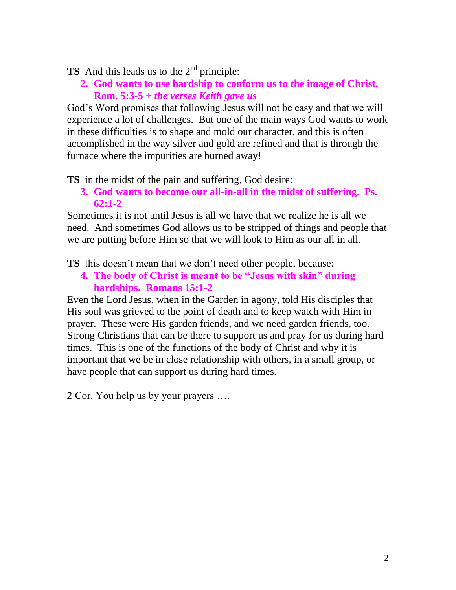**TS** And this leads us to the 2<sup>nd</sup> principle:

**2. God wants to use hardship to conform us to the image of Christ. Rom. 5:3-5** *+ the verses Keith gave us*

God's Word promises that following Jesus will not be easy and that we will experience a lot of challenges. But one of the main ways God wants to work in these difficulties is to shape and mold our character, and this is often accomplished in the way silver and gold are refined and that is through the furnace where the impurities are burned away!

**TS** in the midst of the pain and suffering, God desire:

**3. God wants to become our all-in-all in the midst of suffering. Ps. 62:1-2**

Sometimes it is not until Jesus is all we have that we realize he is all we need. And sometimes God allows us to be stripped of things and people that we are putting before Him so that we will look to Him as our all in all.

**TS** this doesn't mean that we don't need other people, because:

**4. The body of Christ is meant to be "Jesus with skin" during hardships. Romans 15:1-2**

Even the Lord Jesus, when in the Garden in agony, told His disciples that His soul was grieved to the point of death and to keep watch with Him in prayer. These were His garden friends, and we need garden friends, too. Strong Christians that can be there to support us and pray for us during hard times. This is one of the functions of the body of Christ and why it is important that we be in close relationship with others, in a small group, or have people that can support us during hard times.

2 Cor. You help us by your prayers ….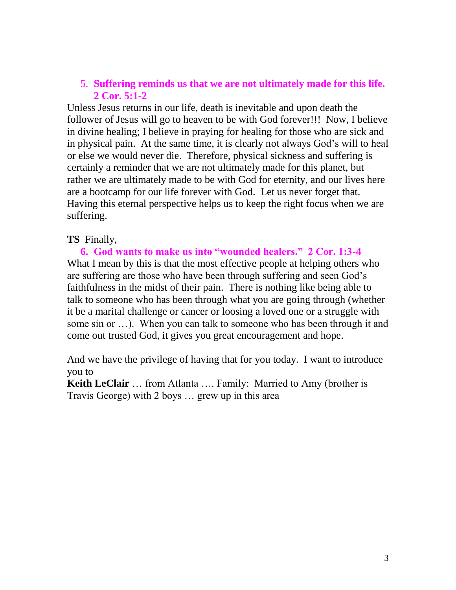#### 5. **Suffering reminds us that we are not ultimately made for this life. 2 Cor. 5:1-2**

Unless Jesus returns in our life, death is inevitable and upon death the follower of Jesus will go to heaven to be with God forever!!! Now, I believe in divine healing; I believe in praying for healing for those who are sick and in physical pain. At the same time, it is clearly not always God's will to heal or else we would never die. Therefore, physical sickness and suffering is certainly a reminder that we are not ultimately made for this planet, but rather we are ultimately made to be with God for eternity, and our lives here are a bootcamp for our life forever with God. Let us never forget that. Having this eternal perspective helps us to keep the right focus when we are suffering.

#### **TS** Finally,

**6. God wants to make us into "wounded healers." 2 Cor. 1:3-4** What I mean by this is that the most effective people at helping others who are suffering are those who have been through suffering and seen God's faithfulness in the midst of their pain. There is nothing like being able to talk to someone who has been through what you are going through (whether it be a marital challenge or cancer or loosing a loved one or a struggle with some sin or …). When you can talk to someone who has been through it and come out trusted God, it gives you great encouragement and hope.

And we have the privilege of having that for you today. I want to introduce you to

**Keith LeClair** … from Atlanta …. Family: Married to Amy (brother is Travis George) with 2 boys … grew up in this area